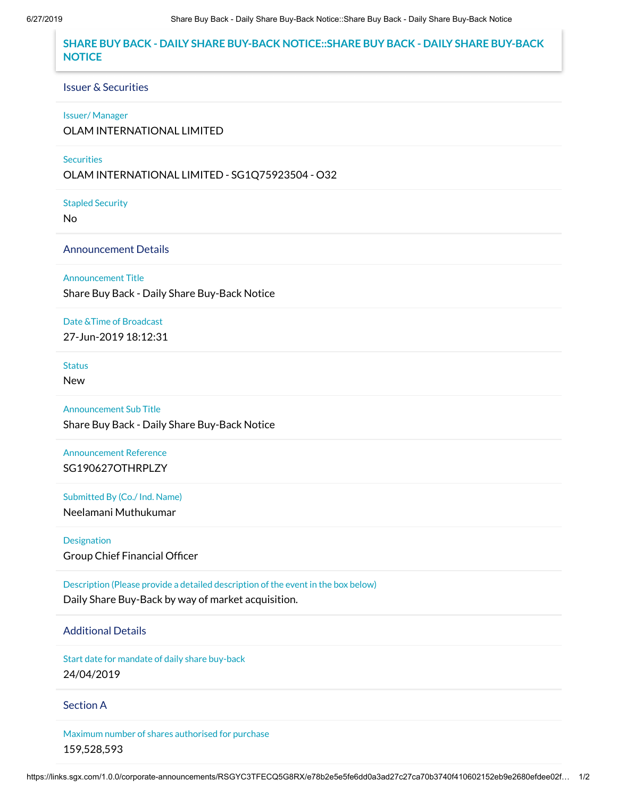## **SHARE BUY BACK - DAILY SHARE BUY-BACK NOTICE::SHARE BUY BACK - DAILY SHARE BUY-BACK NOTICE**

#### Issuer & Securities

#### Issuer/ Manager

OLAM INTERNATIONAL LIMITED

### **Securities**

OLAM INTERNATIONAL LIMITED - SG1Q75923504 - O32

Stapled Security

No

### Announcement Details

Announcement Title

Share Buy Back - Daily Share Buy-Back Notice

Date &Time of Broadcast

27-Jun-2019 18:12:31

# **Status**

New

Announcement Sub Title Share Buy Back - Daily Share Buy-Back Notice

Announcement Reference SG190627OTHRPLZY

Submitted By (Co./ Ind. Name) Neelamani Muthukumar

Designation Group Chief Financial Officer

Description (Please provide a detailed description of the event in the box below) Daily Share Buy-Back by way of market acquisition.

## Additional Details

Start date for mandate of daily share buy-back 24/04/2019

### Section A

Maximum number of shares authorised for purchase 159,528,593